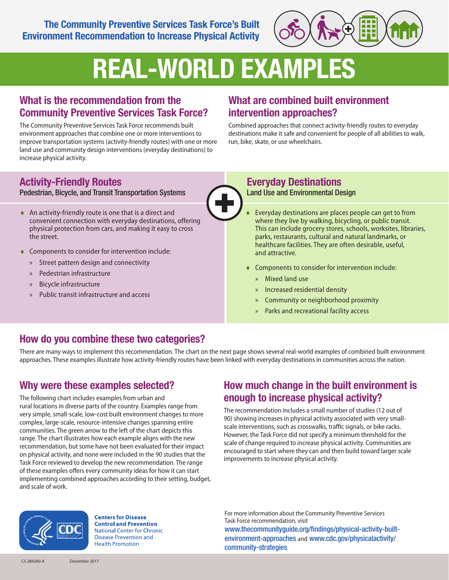The Community Preventive Services Task Force's Built Environment Recommendation to Increase Physical Activity



# REAL-WORLD EXAMPLES

#### What is the recommendation from the Community Preventive Services Task Force?

The Community Preventive Services Task Force recommends built environment approaches that combine one or more interventions to improve transportation systems (activity-friendly routes) with one or more land use and community design interventions (everyday destinations) to increase physical activity.

### What are combined built environment intervention approaches?

Combined approaches that connect activity-friendly routes to everyday destinations make it safe and convenient for people of all abilities to walk, run, bike, skate, or use wheelchairs.

## Activity-Friendly Routes

Pedestrian, Bicycle, and Transit Transportation Systems

- ♦ An activity-friendly route is one that is a direct and convenient connection with everyday destinations, offering physical protection from cars, and making it easy to cross the street.
- ♦ Components to consider for intervention include:
	- » Street pattern design and connectivity
	- » Pedestrian infrastructure
	- » Bicycle infrastructure
	- » Public transit infrastructure and access

#### Everyday Destinations Land Use and Environmental Design

- Everyday destinations are places people can get to from where they live by walking, bicycling, or public transit. This can include grocery stores, schools, worksites, libraries, parks, restaurants, cultural and natural landmarks, or healthcare facilities. They are often desirable, useful, and attractive.
- ♦ Components to consider for intervention include:
	- » Mixed land use
	- » Increased residential density
	- » Community or neighborhood proximity
	- Parks and recreational facility access

#### How do you combine these two categories?

There are many ways to implement this recommendation. The chart on the next page shows several real-world examples of combined built environment approaches. These examples illustrate how activity-friendly routes have been linked with everyday destinations in communities across the nation.

#### Why were these examples selected?

The following chart includes examples from urban and rural locations in diverse parts of the country. Examples range from very simple, small-scale, low-cost built environment changes to more complex, large-scale, resource-intensive changes spanning entire communities. The green arrow to the left of the chart depicts this range. The chart illustrates how each example aligns with the new recommendation, but some have not been evaluated for their impact on physical activity, and none were included in the 90 studies that the Task Force reviewed to develop the new recommendation. The range of these examples offers every community ideas for how it can start implementing combined approaches according to their setting, budget, and scale of work.

#### How much change in the built environment is enough to increase physical activity?

The recommendation includes a small number of studies (12 out of 90) showing increases in physical activity associated with very smallscale interventions, such as crosswalks, traffic signals, or bike racks. However, the Task Force did not specify a minimum threshold for the scale of change required to increase physical activity. Communities are encouraged to start where they can and then build toward larger scale improvements to increase physical activity.

For more information about the Community Preventive Services Task Force recommendation, visit www.thecommunityguide.org/findings/physical-activity-built-

environment-approaches and www.cdc.gov/physicalactivity/ community-strategies



**Centers for Disease Control and Prevention National Center for Chronic Disease Prevention and Health Promotion**